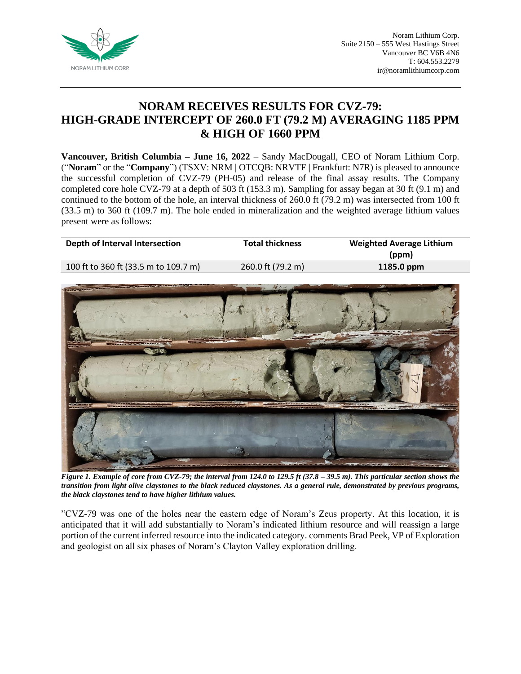

# **NORAM RECEIVES RESULTS FOR CVZ-79: HIGH-GRADE INTERCEPT OF 260.0 FT (79.2 M) AVERAGING 1185 PPM & HIGH OF 1660 PPM**

**Vancouver, British Columbia – June 16, 2022** – Sandy MacDougall, CEO of Noram Lithium Corp. ("**Noram**" or the "**Company**") (TSXV: NRM **|** OTCQB: NRVTF **|** Frankfurt: N7R) is pleased to announce the successful completion of CVZ-79 (PH-05) and release of the final assay results. The Company completed core hole CVZ-79 at a depth of 503 ft (153.3 m). Sampling for assay began at 30 ft (9.1 m) and continued to the bottom of the hole, an interval thickness of 260.0 ft (79.2 m) was intersected from 100 ft (33.5 m) to 360 ft (109.7 m). The hole ended in mineralization and the weighted average lithium values present were as follows:

| Depth of Interval Intersection       | <b>Total thickness</b> | <b>Weighted Average Lithium</b><br>(ppm) |
|--------------------------------------|------------------------|------------------------------------------|
| 100 ft to 360 ft (33.5 m to 109.7 m) | 260.0 ft (79.2 m)      | 1185.0 ppm                               |
|                                      |                        |                                          |



*Figure 1. Example of core from CVZ-79; the interval from 124.0 to 129.5 ft (37.8 – 39.5 m). This particular section shows the transition from light olive claystones to the black reduced claystones. As a general rule, demonstrated by previous programs, the black claystones tend to have higher lithium values.*

"CVZ-79 was one of the holes near the eastern edge of Noram's Zeus property. At this location, it is anticipated that it will add substantially to Noram's indicated lithium resource and will reassign a large portion of the current inferred resource into the indicated category. comments Brad Peek, VP of Exploration and geologist on all six phases of Noram's Clayton Valley exploration drilling.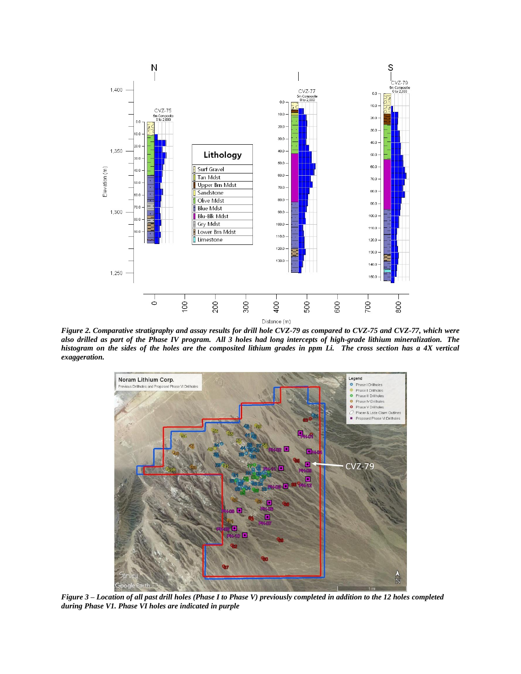

*Figure 2. Comparative stratigraphy and assay results for drill hole CVZ-79 as compared to CVZ-75 and CVZ-77, which were also drilled as part of the Phase IV program. All 3 holes had long intercepts of high-grade lithium mineralization. The histogram on the sides of the holes are the composited lithium grades in ppm Li. The cross section has a 4X vertical exaggeration.*



*Figure 3 – Location of all past drill holes (Phase I to Phase V) previously completed in addition to the 12 holes completed during Phase V1. Phase VI holes are indicated in purple*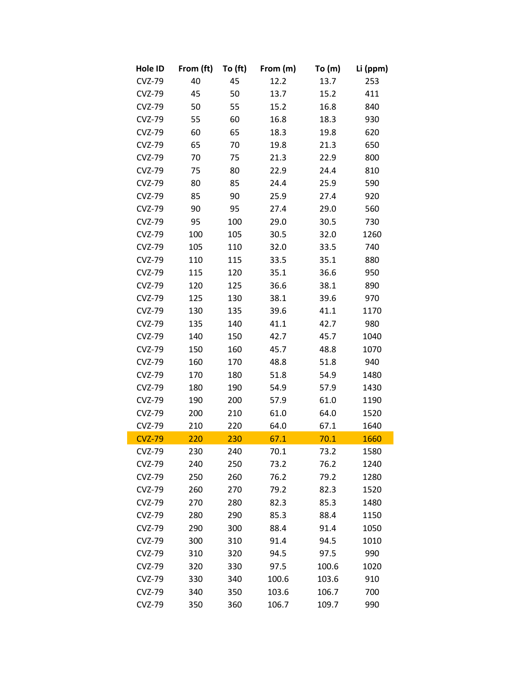| Hole ID       | From (ft) | To (ft) | From (m) | To $(m)$ | Li (ppm) |
|---------------|-----------|---------|----------|----------|----------|
| <b>CVZ-79</b> | 40        | 45      | 12.2     | 13.7     | 253      |
| <b>CVZ-79</b> | 45        | 50      | 13.7     | 15.2     | 411      |
| <b>CVZ-79</b> | 50        | 55      | 15.2     | 16.8     | 840      |
| <b>CVZ-79</b> | 55        | 60      | 16.8     | 18.3     | 930      |
| <b>CVZ-79</b> | 60        | 65      | 18.3     | 19.8     | 620      |
| <b>CVZ-79</b> | 65        | 70      | 19.8     | 21.3     | 650      |
| <b>CVZ-79</b> | 70        | 75      | 21.3     | 22.9     | 800      |
| <b>CVZ-79</b> | 75        | 80      | 22.9     | 24.4     | 810      |
| <b>CVZ-79</b> | 80        | 85      | 24.4     | 25.9     | 590      |
| <b>CVZ-79</b> | 85        | 90      | 25.9     | 27.4     | 920      |
| <b>CVZ-79</b> | 90        | 95      | 27.4     | 29.0     | 560      |
| <b>CVZ-79</b> | 95        | 100     | 29.0     | 30.5     | 730      |
| <b>CVZ-79</b> | 100       | 105     | 30.5     | 32.0     | 1260     |
| <b>CVZ-79</b> | 105       | 110     | 32.0     | 33.5     | 740      |
| <b>CVZ-79</b> | 110       | 115     | 33.5     | 35.1     | 880      |
| <b>CVZ-79</b> | 115       | 120     | 35.1     | 36.6     | 950      |
| <b>CVZ-79</b> | 120       | 125     | 36.6     | 38.1     | 890      |
| <b>CVZ-79</b> | 125       | 130     | 38.1     | 39.6     | 970      |
| <b>CVZ-79</b> | 130       | 135     | 39.6     | 41.1     | 1170     |
| <b>CVZ-79</b> | 135       | 140     | 41.1     | 42.7     | 980      |
| <b>CVZ-79</b> | 140       | 150     | 42.7     | 45.7     | 1040     |
| <b>CVZ-79</b> | 150       | 160     | 45.7     | 48.8     | 1070     |
| <b>CVZ-79</b> | 160       | 170     | 48.8     | 51.8     | 940      |
| <b>CVZ-79</b> | 170       | 180     | 51.8     | 54.9     | 1480     |
| <b>CVZ-79</b> | 180       | 190     | 54.9     | 57.9     | 1430     |
| <b>CVZ-79</b> | 190       | 200     | 57.9     | 61.0     | 1190     |
| <b>CVZ-79</b> | 200       | 210     | 61.0     | 64.0     | 1520     |
| <b>CVZ-79</b> | 210       | 220     | 64.0     | 67.1     | 1640     |
| <b>CVZ-79</b> | 220       | 230     | 67.1     | 70.1     | 1660     |
| CVZ-79        | 230       | 240     | 70.1     | 73.2     | 1580     |
| <b>CVZ-79</b> | 240       | 250     | 73.2     | 76.2     | 1240     |
| <b>CVZ-79</b> | 250       | 260     | 76.2     | 79.2     | 1280     |
| <b>CVZ-79</b> | 260       | 270     | 79.2     | 82.3     | 1520     |
| <b>CVZ-79</b> | 270       | 280     | 82.3     | 85.3     | 1480     |
| <b>CVZ-79</b> | 280       | 290     | 85.3     | 88.4     | 1150     |
| <b>CVZ-79</b> | 290       | 300     | 88.4     | 91.4     | 1050     |
| <b>CVZ-79</b> | 300       | 310     | 91.4     | 94.5     | 1010     |
| <b>CVZ-79</b> | 310       | 320     | 94.5     | 97.5     | 990      |
| <b>CVZ-79</b> | 320       | 330     | 97.5     | 100.6    | 1020     |
| <b>CVZ-79</b> | 330       | 340     | 100.6    | 103.6    | 910      |
| <b>CVZ-79</b> | 340       | 350     | 103.6    | 106.7    | 700      |
| <b>CVZ-79</b> | 350       | 360     | 106.7    | 109.7    | 990      |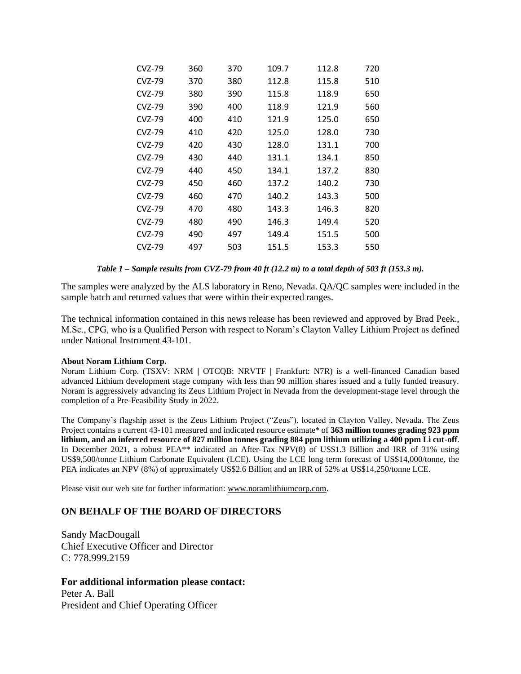| CVZ-79   | 360 | 370 | 109.7 | 112.8 | 720 |
|----------|-----|-----|-------|-------|-----|
| CVZ-79   | 370 | 380 | 112.8 | 115.8 | 510 |
| CVZ-79   | 380 | 390 | 115.8 | 118.9 | 650 |
| CVZ-79   | 390 | 400 | 118.9 | 121.9 | 560 |
| CVZ-79   | 400 | 410 | 121.9 | 125.0 | 650 |
| CVZ-79   | 410 | 420 | 125.0 | 128.0 | 730 |
| CVZ-79   | 420 | 430 | 128.0 | 131.1 | 700 |
| CVZ-79   | 430 | 440 | 131.1 | 134.1 | 850 |
| CVZ-79   | 440 | 450 | 134.1 | 137.2 | 830 |
| $CVZ-79$ | 450 | 460 | 137.2 | 140.2 | 730 |
| CVZ-79   | 460 | 470 | 140.2 | 143.3 | 500 |
| CVZ-79   | 470 | 480 | 143.3 | 146.3 | 820 |
| CVZ-79   | 480 | 490 | 146.3 | 149.4 | 520 |
| CVZ-79   | 490 | 497 | 149.4 | 151.5 | 500 |
| CVZ-79   | 497 | 503 | 151.5 | 153.3 | 550 |

*Table 1 – Sample results from CVZ-79 from 40 ft (12.2 m) to a total depth of 503 ft (153.3 m).*

The samples were analyzed by the ALS laboratory in Reno, Nevada. QA/QC samples were included in the sample batch and returned values that were within their expected ranges.

The technical information contained in this news release has been reviewed and approved by Brad Peek., M.Sc., CPG, who is a Qualified Person with respect to Noram's Clayton Valley Lithium Project as defined under National Instrument 43-101.

#### **About Noram Lithium Corp.**

Noram Lithium Corp. (TSXV: NRM **|** OTCQB: NRVTF **|** Frankfurt: N7R) is a well-financed Canadian based advanced Lithium development stage company with less than 90 million shares issued and a fully funded treasury. Noram is aggressively advancing its Zeus Lithium Project in Nevada from the development-stage level through the completion of a Pre-Feasibility Study in 2022.

The Company's flagship asset is the Zeus Lithium Project ("Zeus"), located in Clayton Valley, Nevada. The Zeus Project contains a current 43-101 measured and indicated resource estimate\* of **363 million tonnes grading 923 ppm lithium, and an inferred resource of 827 million tonnes grading 884 ppm lithium utilizing a 400 ppm Li cut-off**. In December 2021, a robust PEA\*\* indicated an After-Tax NPV(8) of US\$1.3 Billion and IRR of 31% using US\$9,500/tonne Lithium Carbonate Equivalent (LCE). Using the LCE long term forecast of US\$14,000/tonne, the PEA indicates an NPV (8%) of approximately US\$2.6 Billion and an IRR of 52% at US\$14,250/tonne LCE.

Please visit our web site for further information: [www.noramlithiumcorp.com.](http://www.noramlithiumcorp.com/)

# **ON BEHALF OF THE BOARD OF DIRECTORS**

Sandy MacDougall Chief Executive Officer and Director C: 778.999.2159

## **For additional information please contact:**

Peter A. Ball President and Chief Operating Officer